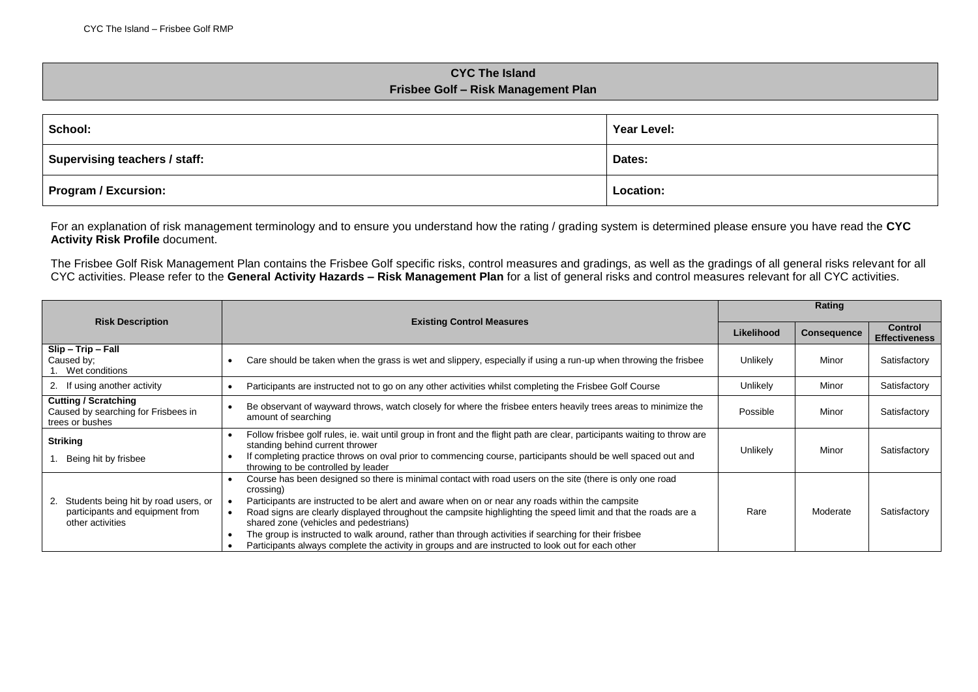## **CYC The Island Frisbee Golf – Risk Management Plan**

| School:                              | Year Level: |
|--------------------------------------|-------------|
| <b>Supervising teachers / staff:</b> | Dates:      |
| Program / Excursion:                 | Location:   |

For an explanation of risk management terminology and to ensure you understand how the rating / grading system is determined please ensure you have read the **CYC Activity Risk Profile** document.

The Frisbee Golf Risk Management Plan contains the Frisbee Golf specific risks, control measures and gradings, as well as the gradings of all general risks relevant for all CYC activities. Please refer to the **General Activity Hazards – Risk Management Plan** for a list of general risks and control measures relevant for all CYC activities.

|                                                                                                   |                                                                                                                                                                                                                                                                                                                                                                                                                                                                                                                                                                                                    |            | Rating             |                                        |  |
|---------------------------------------------------------------------------------------------------|----------------------------------------------------------------------------------------------------------------------------------------------------------------------------------------------------------------------------------------------------------------------------------------------------------------------------------------------------------------------------------------------------------------------------------------------------------------------------------------------------------------------------------------------------------------------------------------------------|------------|--------------------|----------------------------------------|--|
| <b>Risk Description</b>                                                                           | <b>Existing Control Measures</b>                                                                                                                                                                                                                                                                                                                                                                                                                                                                                                                                                                   | Likelihood | <b>Consequence</b> | <b>Control</b><br><b>Effectiveness</b> |  |
| Slip - Trip - Fall<br>Caused by:<br>Wet conditions                                                | Care should be taken when the grass is wet and slippery, especially if using a run-up when throwing the frisbee<br>$\bullet$                                                                                                                                                                                                                                                                                                                                                                                                                                                                       | Unlikely   | Minor              | Satisfactory                           |  |
| 2. If using another activity                                                                      | Participants are instructed not to go on any other activities whilst completing the Frisbee Golf Course                                                                                                                                                                                                                                                                                                                                                                                                                                                                                            | Unlikely   | Minor              | Satisfactory                           |  |
| <b>Cutting / Scratching</b><br>Caused by searching for Frisbees in<br>trees or bushes             | Be observant of wayward throws, watch closely for where the frisbee enters heavily trees areas to minimize the<br>amount of searching                                                                                                                                                                                                                                                                                                                                                                                                                                                              | Possible   | Minor              | Satisfactory                           |  |
| <b>Striking</b><br>Being hit by frisbee                                                           | Follow frisbee golf rules, ie. wait until group in front and the flight path are clear, participants waiting to throw are<br>٠<br>standing behind current thrower<br>If completing practice throws on oval prior to commencing course, participants should be well spaced out and<br>٠<br>throwing to be controlled by leader                                                                                                                                                                                                                                                                      | Unlikely   | Minor              | Satisfactory                           |  |
| Students being hit by road users, or<br>2.<br>participants and equipment from<br>other activities | Course has been designed so there is minimal contact with road users on the site (there is only one road<br>crossing)<br>Participants are instructed to be alert and aware when on or near any roads within the campsite<br>Road signs are clearly displayed throughout the campsite highlighting the speed limit and that the roads are a<br>shared zone (vehicles and pedestrians)<br>The group is instructed to walk around, rather than through activities if searching for their frisbee<br>Participants always complete the activity in groups and are instructed to look out for each other | Rare       | Moderate           | Satisfactory                           |  |